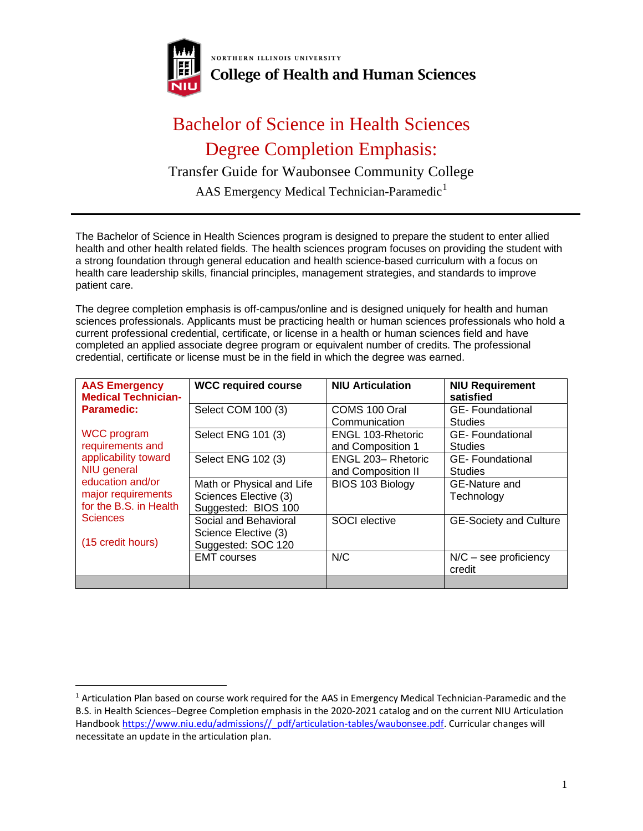

NORTHERN ILLINOIS UNIVERSITY **College of Health and Human Sciences** 

## Bachelor of Science in Health Sciences Degree Completion Emphasis:

## Transfer Guide for Waubonsee Community College

AAS Emergency Medical Technician-Paramedic<sup>1</sup>

The Bachelor of Science in Health Sciences program is designed to prepare the student to enter allied health and other health related fields. The health sciences program focuses on providing the student with a strong foundation through general education and health science-based curriculum with a focus on health care leadership skills, financial principles, management strategies, and standards to improve patient care.

The degree completion emphasis is off-campus/online and is designed uniquely for health and human sciences professionals. Applicants must be practicing health or human sciences professionals who hold a current professional credential, certificate, or license in a health or human sciences field and have completed an applied associate degree program or equivalent number of credits. The professional credential, certificate or license must be in the field in which the degree was earned.

| <b>AAS Emergency</b><br><b>Medical Technician-</b>                                                      | <b>WCC required course</b>                                                | <b>NIU Articulation</b>                 | <b>NIU Requirement</b><br>satisfied      |
|---------------------------------------------------------------------------------------------------------|---------------------------------------------------------------------------|-----------------------------------------|------------------------------------------|
| Paramedic:                                                                                              | Select COM 100 (3)                                                        | COMS 100 Oral<br>Communication          | <b>GE-Foundational</b><br><b>Studies</b> |
| WCC program<br>requirements and                                                                         | Select ENG 101 (3)                                                        | ENGL 103-Rhetoric<br>and Composition 1  | <b>GE-Foundational</b><br><b>Studies</b> |
| applicability toward<br>NIU general<br>education and/or<br>major requirements<br>for the B.S. in Health | Select ENG 102 (3)                                                        | ENGL 203-Rhetoric<br>and Composition II | <b>GE-Foundational</b><br><b>Studies</b> |
|                                                                                                         | Math or Physical and Life<br>Sciences Elective (3)<br>Suggested: BIOS 100 | BIOS 103 Biology                        | GE-Nature and<br>Technology              |
| <b>Sciences</b><br>(15 credit hours)                                                                    | Social and Behavioral<br>Science Elective (3)<br>Suggested: SOC 120       | <b>SOCI</b> elective                    | <b>GE-Society and Culture</b>            |
|                                                                                                         | <b>EMT</b> courses                                                        | N/C                                     | $N/C$ – see proficiency<br>credit        |
|                                                                                                         |                                                                           |                                         |                                          |

<sup>&</sup>lt;sup>1</sup> Articulation Plan based on course work required for the AAS in Emergency Medical Technician-Paramedic and the B.S. in Health Sciences–Degree Completion emphasis in the 2020-2021 catalog and on the current NIU Articulation Handbook [https://www.niu.edu/admissions//\\_pdf/articulation-tables/waubonsee.pdf.](https://www.niu.edu/admissions/_pdf/articulation-tables/waubonsee.pdf) Curricular changes will necessitate an update in the articulation plan.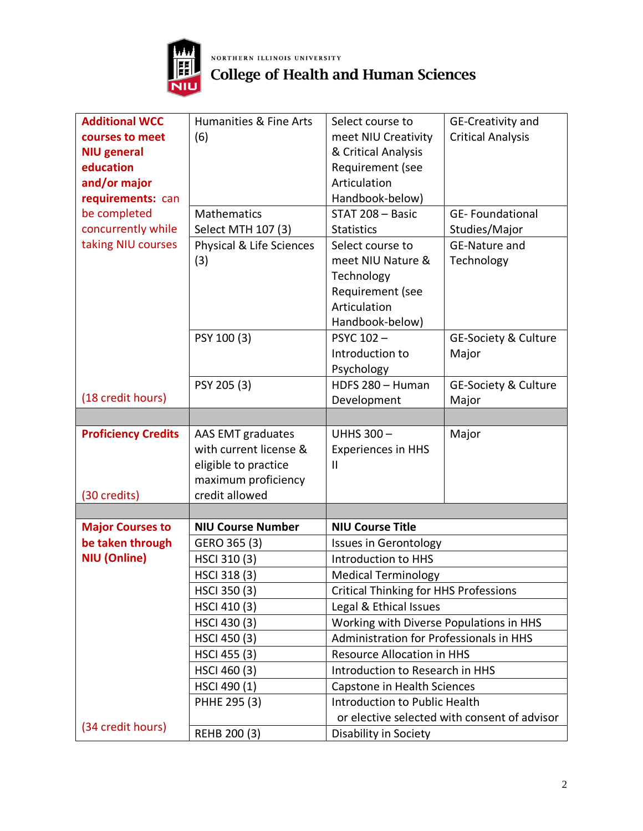

## **NORTHERN ILLINOIS UNIVERSITY**<br>College of Health and Human Sciences

| <b>Additional WCC</b>      | Humanities & Fine Arts   | Select course to                             | GE-Creativity and                            |
|----------------------------|--------------------------|----------------------------------------------|----------------------------------------------|
| courses to meet            | (6)                      | meet NIU Creativity                          | <b>Critical Analysis</b>                     |
| <b>NIU general</b>         |                          | & Critical Analysis                          |                                              |
| education                  |                          | Requirement (see                             |                                              |
| and/or major               |                          | Articulation                                 |                                              |
| requirements: can          |                          | Handbook-below)                              |                                              |
| be completed               | <b>Mathematics</b>       | STAT 208 - Basic                             | <b>GE-Foundational</b>                       |
| concurrently while         | Select MTH 107 (3)       | <b>Statistics</b>                            | Studies/Major                                |
| taking NIU courses         | Physical & Life Sciences | Select course to                             | <b>GE-Nature and</b>                         |
|                            | (3)                      | meet NIU Nature &                            | Technology                                   |
|                            |                          | Technology                                   |                                              |
|                            |                          | Requirement (see                             |                                              |
|                            |                          | Articulation                                 |                                              |
|                            |                          | Handbook-below)                              |                                              |
|                            | PSY 100 (3)              | PSYC 102-                                    | <b>GE-Society &amp; Culture</b>              |
|                            |                          | Introduction to                              | Major                                        |
|                            |                          | Psychology                                   |                                              |
|                            | PSY 205 (3)              | HDFS 280 - Human                             | <b>GE-Society &amp; Culture</b>              |
| (18 credit hours)          |                          | Development                                  | Major                                        |
|                            |                          |                                              |                                              |
|                            |                          |                                              |                                              |
| <b>Proficiency Credits</b> | AAS EMT graduates        | <b>UHHS 300-</b>                             | Major                                        |
|                            | with current license &   | <b>Experiences in HHS</b>                    |                                              |
|                            | eligible to practice     | Ш                                            |                                              |
|                            | maximum proficiency      |                                              |                                              |
| (30 credits)               | credit allowed           |                                              |                                              |
|                            |                          |                                              |                                              |
| <b>Major Courses to</b>    | <b>NIU Course Number</b> | <b>NIU Course Title</b>                      |                                              |
| be taken through           | GERO 365 (3)             | <b>Issues in Gerontology</b>                 |                                              |
| <b>NIU (Online)</b>        | HSCI 310 (3)             | Introduction to HHS                          |                                              |
|                            | HSCI 318 (3)             | <b>Medical Terminology</b>                   |                                              |
|                            | HSCI 350 (3)             | <b>Critical Thinking for HHS Professions</b> |                                              |
|                            | HSCI 410 (3)             | Legal & Ethical Issues                       |                                              |
|                            | HSCI 430 (3)             | Working with Diverse Populations in HHS      |                                              |
|                            | HSCI 450 (3)             | Administration for Professionals in HHS      |                                              |
|                            | HSCI 455 (3)             | <b>Resource Allocation in HHS</b>            |                                              |
|                            | HSCI 460 (3)             | Introduction to Research in HHS              |                                              |
|                            | HSCI 490 (1)             | Capstone in Health Sciences                  |                                              |
|                            | PHHE 295 (3)             | Introduction to Public Health                |                                              |
| (34 credit hours)          |                          |                                              | or elective selected with consent of advisor |